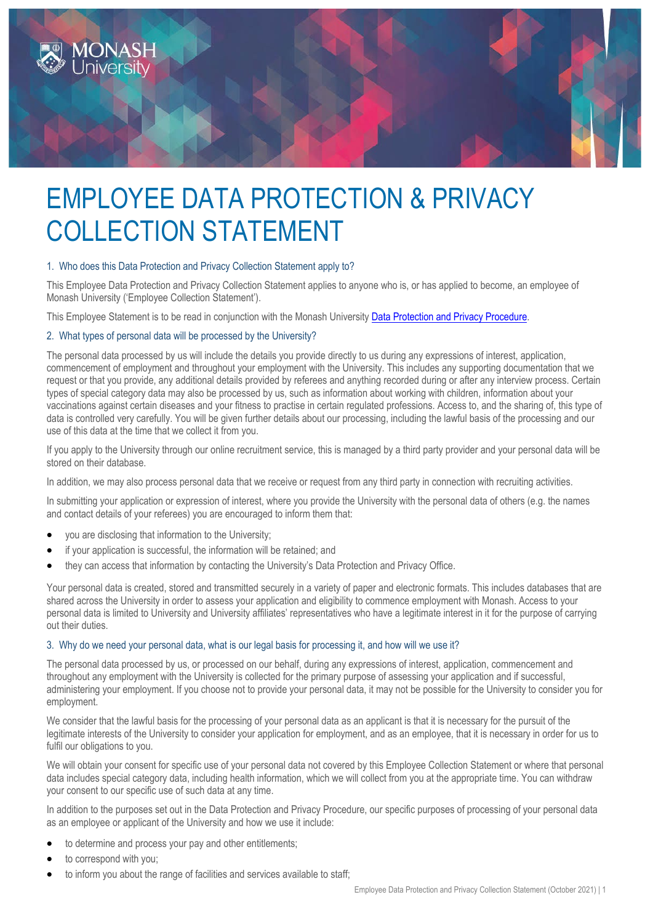

# EMPLOYEE DATA PROTECTION & PRIVACY COLLECTION STATEMENT

## 1. Who does this Data Protection and Privacy Collection Statement apply to?

This Employee Data Protection and Privacy Collection Statement applies to anyone who is, or has applied to become, an employee of Monash University ('Employee Collection Statement').

This Employee Statement is to be read in conjunction with the Monash University Data Protection and Privacy Procedure.

### 2. What types of personal data will be processed by the University?

The personal data processed by us will include the details you provide directly to us during any expressions of interest, application, commencement of employment and throughout your employment with the University. This includes any supporting documentation that we request or that you provide, any additional details provided by referees and anything recorded during or after any interview process. Certain types of special category data may also be processed by us, such as information about working with children, information about your vaccinations against certain diseases and your fitness to practise in certain regulated professions. Access to, and the sharing of, this type of data is controlled very carefully. You will be given further details about our processing, including the lawful basis of the processing and our use of this data at the time that we collect it from you.

If you apply to the University through our online recruitment service, this is managed by a third party provider and your personal data will be stored on their database.

In addition, we may also process personal data that we receive or request from any third party in connection with recruiting activities.

In submitting your application or expression of interest, where you provide the University with the personal data of others (e.g. the names and contact details of your referees) you are encouraged to inform them that:

- you are disclosing that information to the University;
- if your application is successful, the information will be retained; and
- they can access that information by contacting the University's Data Protection and Privacy Office.

Your personal data is created, stored and transmitted securely in a variety of paper and electronic formats. This includes databases that are shared across the University in order to assess your application and eligibility to commence employment with Monash. Access to your personal data is limited to University and University affiliates' representatives who have a legitimate interest in it for the purpose of carrying out their duties.

# 3. Why do we need your personal data, what is our legal basis for processing it, and how will we use it?

The personal data processed by us, or processed on our behalf, during any expressions of interest, application, commencement and throughout any employment with the University is collected for the primary purpose of assessing your application and if successful, administering your employment. If you choose not to provide your personal data, it may not be possible for the University to consider you for employment.

We consider that the lawful basis for the processing of your personal data as an applicant is that it is necessary for the pursuit of the legitimate interests of the University to consider your application for employment, and as an employee, that it is necessary in order for us to fulfil our obligations to you.

We will obtain your consent for specific use of your personal data not covered by this Employee Collection Statement or where that personal data includes special category data, including health information, which we will collect from you at the appropriate time. You can withdraw your consent to our specific use of such data at any time.

In addition to the purposes set out in the Data Protection and Privacy Procedure, our specific purposes of processing of your personal data as an employee or applicant of the University and how we use it include:

- to determine and process your pay and other entitlements;
- to correspond with you;
- to inform you about the range of facilities and services available to staff;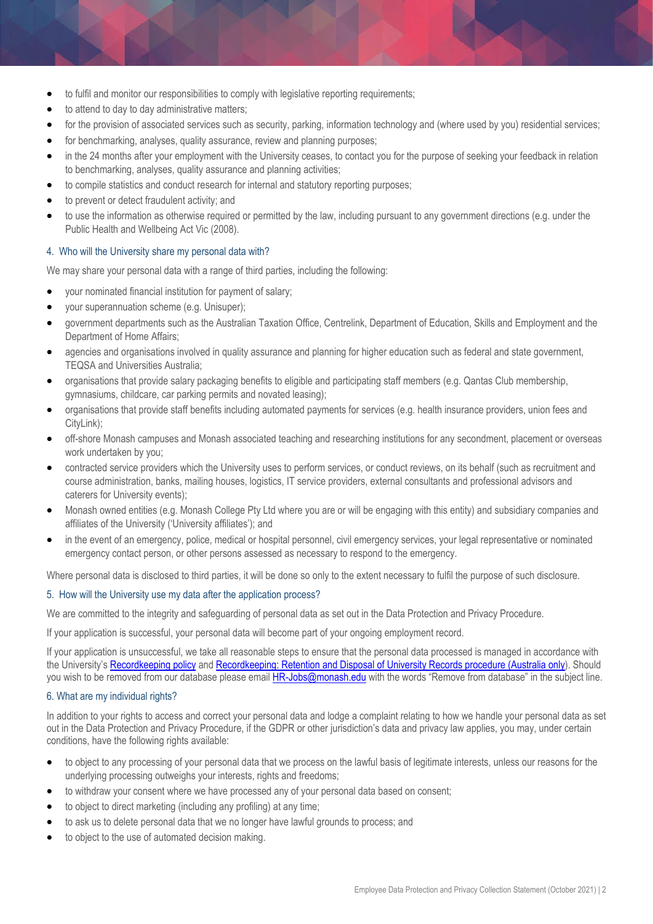- to fulfil and monitor our responsibilities to comply with legislative reporting requirements;
- to attend to day to day administrative matters;
- for the provision of associated services such as security, parking, information technology and (where used by you) residential services;
- for benchmarking, analyses, quality assurance, review and planning purposes;
- in the 24 months after your employment with the University ceases, to contact you for the purpose of seeking your feedback in relation to benchmarking, analyses, quality assurance and planning activities;
- to compile statistics and conduct research for internal and statutory reporting purposes;
- to prevent or detect fraudulent activity; and
- to use the information as otherwise required or permitted by the law, including pursuant to any government directions (e.g. under the Public Health and Wellbeing Act Vic (2008).

## 4. Who will the University share my personal data with?

We may share your personal data with a range of third parties, including the following:

- your nominated financial institution for payment of salary;
- your superannuation scheme (e.g. Unisuper);
- government departments such as the Australian Taxation Office, Centrelink, Department of Education, Skills and Employment and the Department of Home Affairs;
- agencies and organisations involved in quality assurance and planning for higher education such as federal and state government, TEQSA and Universities Australia;
- organisations that provide salary packaging benefits to eligible and participating staff members (e.g. Qantas Club membership, gymnasiums, childcare, car parking permits and novated leasing);
- organisations that provide staff benefits including automated payments for services (e.g. health insurance providers, union fees and CityLink);
- off-shore Monash campuses and Monash associated teaching and researching institutions for any secondment, placement or overseas work undertaken by you;
- contracted service providers which the University uses to perform services, or conduct reviews, on its behalf (such as recruitment and course administration, banks, mailing houses, logistics, IT service providers, external consultants and professional advisors and caterers for University events);
- Monash owned entities (e.g. Monash College Pty Ltd where you are or will be engaging with this entity) and subsidiary companies and affiliates of the University ('University affiliates'); and
- in the event of an emergency, police, medical or hospital personnel, civil emergency services, your legal representative or nominated emergency contact person, or other persons assessed as necessary to respond to the emergency.

Where personal data is disclosed to third parties, it will be done so only to the extent necessary to fulfil the purpose of such disclosure.

### 5. How will the University use my data after the application process?

We are committed to the integrity and safeguarding of personal data as set out in the Data Protection and Privacy Procedure.

If your application is successful, your personal data will become part of your ongoing employment record.

If your application is unsuccessful, we take all reasonable steps to ensure that the personal data processed is managed in accordance with the University'[s Recordkeeping policy](https://www.monash.edu/__data/assets/pdf_file/0007/784123/Recordkeeping-Policy.pdf) and [Recordkeeping: Retention and Disposal of University Records procedure \(Australia only\)](https://www.monash.edu/__data/assets/pdf_file/0004/784264/Recordkeeping-Retention-and-Disposal-of-University-Records-Procedures-Australia-only.pdf). Should you wish to be removed from our database please emai[l HR-Jobs@monash.edu](mailto:HR-Jobs@monash.edu) with the words "Remove from database" in the subject line.

### 6. What are my individual rights?

In addition to your rights to access and correct your personal data and lodge a complaint relating to how we handle your personal data as set out in the Data Protection and Privacy Procedure, if the GDPR or other jurisdiction's data and privacy law applies, you may, under certain conditions, have the following rights available:

- to object to any processing of your personal data that we process on the lawful basis of legitimate interests, unless our reasons for the underlying processing outweighs your interests, rights and freedoms;
- to withdraw your consent where we have processed any of your personal data based on consent;
- to object to direct marketing (including any profiling) at any time;
- to ask us to delete personal data that we no longer have lawful grounds to process; and
- to object to the use of automated decision making.